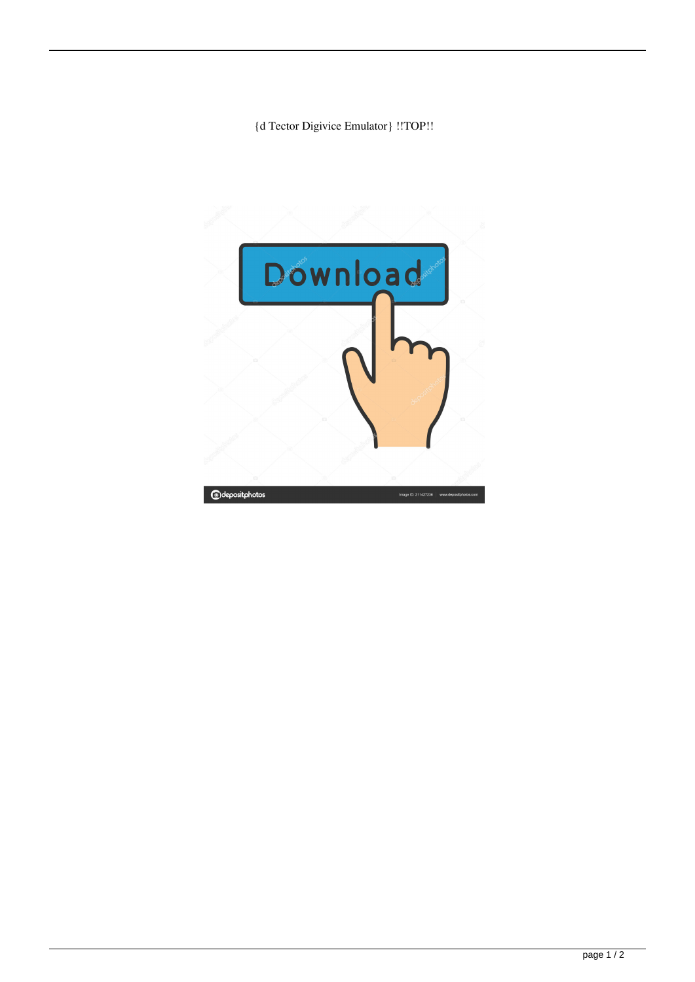## {d Tector Digivice Emulator} !!TOP!!